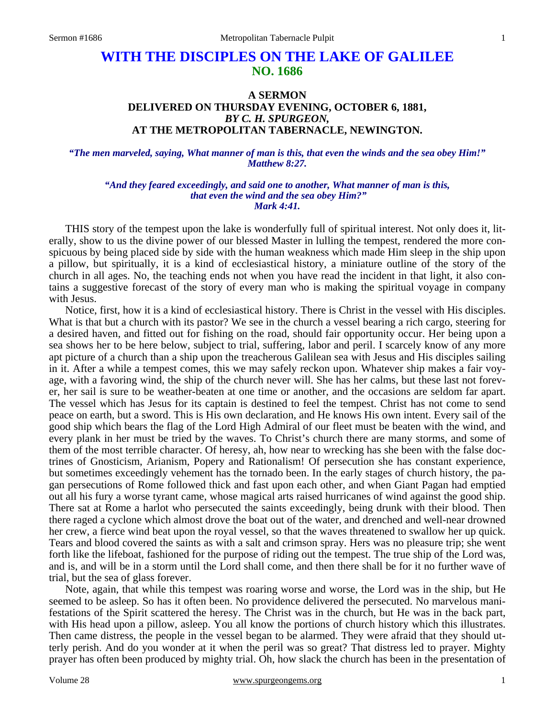# **WITH THE DISCIPLES ON THE LAKE OF GALILEE NO. 1686**

# **A SERMON DELIVERED ON THURSDAY EVENING, OCTOBER 6, 1881,**  *BY C. H. SPURGEON,*  **AT THE METROPOLITAN TABERNACLE, NEWINGTON.**

#### *"The men marveled, saying, What manner of man is this, that even the winds and the sea obey Him!" Matthew 8:27.*

*"And they feared exceedingly, and said one to another, What manner of man is this, that even the wind and the sea obey Him?" Mark 4:41.* 

THIS story of the tempest upon the lake is wonderfully full of spiritual interest. Not only does it, literally, show to us the divine power of our blessed Master in lulling the tempest, rendered the more conspicuous by being placed side by side with the human weakness which made Him sleep in the ship upon a pillow, but spiritually, it is a kind of ecclesiastical history, a miniature outline of the story of the church in all ages. No, the teaching ends not when you have read the incident in that light, it also contains a suggestive forecast of the story of every man who is making the spiritual voyage in company with Jesus.

 Notice, first, how it is a kind of ecclesiastical history. There is Christ in the vessel with His disciples. What is that but a church with its pastor? We see in the church a vessel bearing a rich cargo, steering for a desired haven, and fitted out for fishing on the road, should fair opportunity occur. Her being upon a sea shows her to be here below, subject to trial, suffering, labor and peril. I scarcely know of any more apt picture of a church than a ship upon the treacherous Galilean sea with Jesus and His disciples sailing in it. After a while a tempest comes, this we may safely reckon upon. Whatever ship makes a fair voyage, with a favoring wind, the ship of the church never will. She has her calms, but these last not forever, her sail is sure to be weather-beaten at one time or another, and the occasions are seldom far apart. The vessel which has Jesus for its captain is destined to feel the tempest. Christ has not come to send peace on earth, but a sword. This is His own declaration, and He knows His own intent. Every sail of the good ship which bears the flag of the Lord High Admiral of our fleet must be beaten with the wind, and every plank in her must be tried by the waves. To Christ's church there are many storms, and some of them of the most terrible character. Of heresy, ah, how near to wrecking has she been with the false doctrines of Gnosticism, Arianism, Popery and Rationalism! Of persecution she has constant experience, but sometimes exceedingly vehement has the tornado been. In the early stages of church history, the pagan persecutions of Rome followed thick and fast upon each other, and when Giant Pagan had emptied out all his fury a worse tyrant came, whose magical arts raised hurricanes of wind against the good ship. There sat at Rome a harlot who persecuted the saints exceedingly, being drunk with their blood. Then there raged a cyclone which almost drove the boat out of the water, and drenched and well-near drowned her crew, a fierce wind beat upon the royal vessel, so that the waves threatened to swallow her up quick. Tears and blood covered the saints as with a salt and crimson spray. Hers was no pleasure trip; she went forth like the lifeboat, fashioned for the purpose of riding out the tempest. The true ship of the Lord was, and is, and will be in a storm until the Lord shall come, and then there shall be for it no further wave of trial, but the sea of glass forever.

 Note, again, that while this tempest was roaring worse and worse, the Lord was in the ship, but He seemed to be asleep. So has it often been. No providence delivered the persecuted. No marvelous manifestations of the Spirit scattered the heresy. The Christ was in the church, but He was in the back part, with His head upon a pillow, asleep. You all know the portions of church history which this illustrates. Then came distress, the people in the vessel began to be alarmed. They were afraid that they should utterly perish. And do you wonder at it when the peril was so great? That distress led to prayer. Mighty prayer has often been produced by mighty trial. Oh, how slack the church has been in the presentation of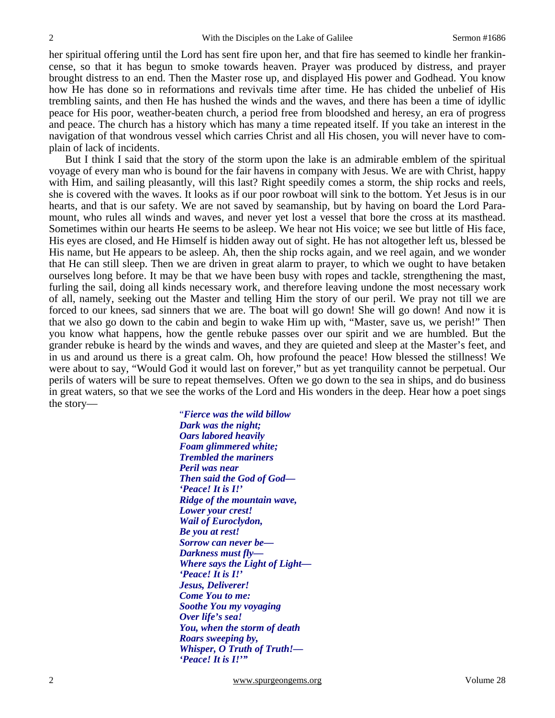her spiritual offering until the Lord has sent fire upon her, and that fire has seemed to kindle her frankincense, so that it has begun to smoke towards heaven. Prayer was produced by distress, and prayer brought distress to an end. Then the Master rose up, and displayed His power and Godhead. You know how He has done so in reformations and revivals time after time. He has chided the unbelief of His trembling saints, and then He has hushed the winds and the waves, and there has been a time of idyllic peace for His poor, weather-beaten church, a period free from bloodshed and heresy, an era of progress and peace. The church has a history which has many a time repeated itself. If you take an interest in the navigation of that wondrous vessel which carries Christ and all His chosen, you will never have to complain of lack of incidents.

 But I think I said that the story of the storm upon the lake is an admirable emblem of the spiritual voyage of every man who is bound for the fair havens in company with Jesus. We are with Christ, happy with Him, and sailing pleasantly, will this last? Right speedily comes a storm, the ship rocks and reels, she is covered with the waves. It looks as if our poor rowboat will sink to the bottom. Yet Jesus is in our hearts, and that is our safety. We are not saved by seamanship, but by having on board the Lord Paramount, who rules all winds and waves, and never yet lost a vessel that bore the cross at its masthead. Sometimes within our hearts He seems to be asleep. We hear not His voice; we see but little of His face, His eyes are closed, and He Himself is hidden away out of sight. He has not altogether left us, blessed be His name, but He appears to be asleep. Ah, then the ship rocks again, and we reel again, and we wonder that He can still sleep. Then we are driven in great alarm to prayer, to which we ought to have betaken ourselves long before. It may be that we have been busy with ropes and tackle, strengthening the mast, furling the sail, doing all kinds necessary work, and therefore leaving undone the most necessary work of all, namely, seeking out the Master and telling Him the story of our peril. We pray not till we are forced to our knees, sad sinners that we are. The boat will go down! She will go down! And now it is that we also go down to the cabin and begin to wake Him up with, "Master, save us, we perish!" Then you know what happens, how the gentle rebuke passes over our spirit and we are humbled. But the grander rebuke is heard by the winds and waves, and they are quieted and sleep at the Master's feet, and in us and around us there is a great calm. Oh, how profound the peace! How blessed the stillness! We were about to say, "Would God it would last on forever," but as yet tranquility cannot be perpetual. Our perils of waters will be sure to repeat themselves. Often we go down to the sea in ships, and do business in great waters, so that we see the works of the Lord and His wonders in the deep. Hear how a poet sings the story— "*Fierce was the wild billow* 

*Dark was the night; Oars labored heavily Foam glimmered white; Trembled the mariners Peril was near Then said the God of God— 'Peace! It is I!' Ridge of the mountain wave, Lower your crest! Wail of Euroclydon, Be you at rest! Sorrow can never be— Darkness must fly— Where says the Light of Light— 'Peace! It is I!' Jesus, Deliverer! Come You to me: Soothe You my voyaging Over life's sea! You, when the storm of death Roars sweeping by, Whisper, O Truth of Truth!— 'Peace! It is I!'"*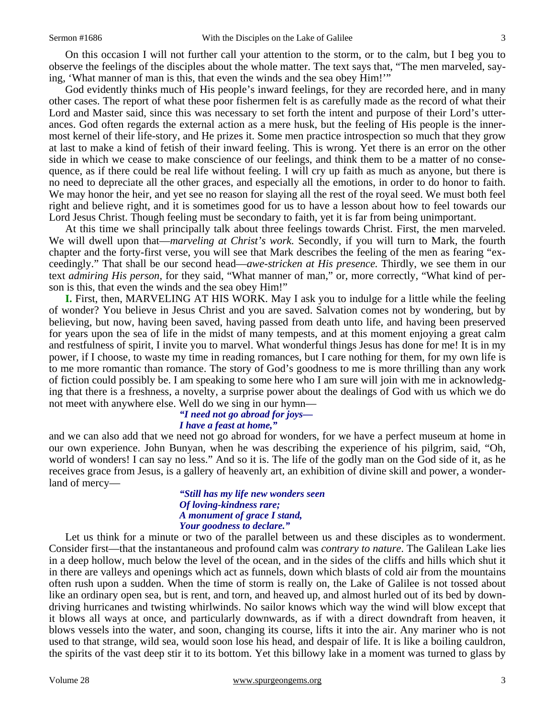On this occasion I will not further call your attention to the storm, or to the calm, but I beg you to observe the feelings of the disciples about the whole matter. The text says that, "The men marveled, saying, 'What manner of man is this, that even the winds and the sea obey Him!'"

 God evidently thinks much of His people's inward feelings, for they are recorded here, and in many other cases. The report of what these poor fishermen felt is as carefully made as the record of what their Lord and Master said, since this was necessary to set forth the intent and purpose of their Lord's utterances. God often regards the external action as a mere husk, but the feeling of His people is the innermost kernel of their life-story, and He prizes it. Some men practice introspection so much that they grow at last to make a kind of fetish of their inward feeling. This is wrong. Yet there is an error on the other side in which we cease to make conscience of our feelings, and think them to be a matter of no consequence, as if there could be real life without feeling. I will cry up faith as much as anyone, but there is no need to depreciate all the other graces, and especially all the emotions, in order to do honor to faith. We may honor the heir, and yet see no reason for slaying all the rest of the royal seed. We must both feel right and believe right, and it is sometimes good for us to have a lesson about how to feel towards our Lord Jesus Christ. Though feeling must be secondary to faith, yet it is far from being unimportant.

 At this time we shall principally talk about three feelings towards Christ. First, the men marveled. We will dwell upon that—*marveling at Christ's work.* Secondly, if you will turn to Mark, the fourth chapter and the forty-first verse, you will see that Mark describes the feeling of the men as fearing "exceedingly." That shall be our second head—*awe-stricken at His presence.* Thirdly, we see them in our text *admiring His person,* for they said, "What manner of man," or, more correctly, "What kind of person is this, that even the winds and the sea obey Him!"

**I.** First, then, MARVELING AT HIS WORK. May I ask you to indulge for a little while the feeling of wonder? You believe in Jesus Christ and you are saved. Salvation comes not by wondering, but by believing, but now, having been saved, having passed from death unto life, and having been preserved for years upon the sea of life in the midst of many tempests, and at this moment enjoying a great calm and restfulness of spirit, I invite you to marvel. What wonderful things Jesus has done for me! It is in my power, if I choose, to waste my time in reading romances, but I care nothing for them, for my own life is to me more romantic than romance. The story of God's goodness to me is more thrilling than any work of fiction could possibly be. I am speaking to some here who I am sure will join with me in acknowledging that there is a freshness, a novelty, a surprise power about the dealings of God with us which we do not meet with anywhere else. Well do we sing in our hymn—

# *"I need not go abroad for joys— I have a feast at home,"*

and we can also add that we need not go abroad for wonders, for we have a perfect museum at home in our own experience. John Bunyan, when he was describing the experience of his pilgrim, said, "Oh, world of wonders! I can say no less." And so it is. The life of the godly man on the God side of it, as he receives grace from Jesus, is a gallery of heavenly art, an exhibition of divine skill and power, a wonderland of mercy—

### *"Still has my life new wonders seen Of loving-kindness rare; A monument of grace I stand, Your goodness to declare."*

Let us think for a minute or two of the parallel between us and these disciples as to wonderment. Consider first—that the instantaneous and profound calm was *contrary to nature*. The Galilean Lake lies in a deep hollow, much below the level of the ocean, and in the sides of the cliffs and hills which shut it in there are valleys and openings which act as funnels, down which blasts of cold air from the mountains often rush upon a sudden. When the time of storm is really on, the Lake of Galilee is not tossed about like an ordinary open sea, but is rent, and torn, and heaved up, and almost hurled out of its bed by downdriving hurricanes and twisting whirlwinds. No sailor knows which way the wind will blow except that it blows all ways at once, and particularly downwards, as if with a direct downdraft from heaven, it blows vessels into the water, and soon, changing its course, lifts it into the air. Any mariner who is not used to that strange, wild sea, would soon lose his head, and despair of life. It is like a boiling cauldron, the spirits of the vast deep stir it to its bottom. Yet this billowy lake in a moment was turned to glass by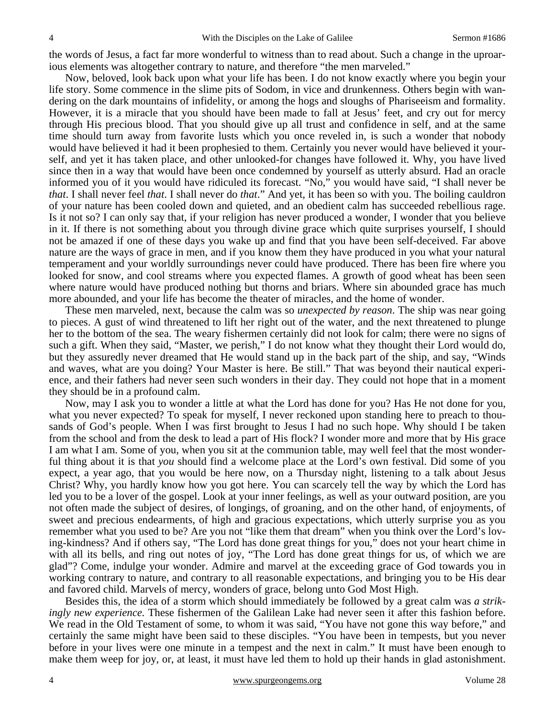the words of Jesus, a fact far more wonderful to witness than to read about. Such a change in the uproarious elements was altogether contrary to nature, and therefore "the men marveled."

 Now, beloved, look back upon what your life has been. I do not know exactly where you begin your life story. Some commence in the slime pits of Sodom, in vice and drunkenness. Others begin with wandering on the dark mountains of infidelity, or among the hogs and sloughs of Phariseeism and formality. However, it is a miracle that you should have been made to fall at Jesus' feet, and cry out for mercy through His precious blood. That you should give up all trust and confidence in self, and at the same time should turn away from favorite lusts which you once reveled in, is such a wonder that nobody would have believed it had it been prophesied to them. Certainly you never would have believed it yourself, and yet it has taken place, and other unlooked-for changes have followed it. Why, you have lived since then in a way that would have been once condemned by yourself as utterly absurd. Had an oracle informed you of it you would have ridiculed its forecast. "No," you would have said, "I shall never be *that*. I shall never feel *that*. I shall never do *that*." And yet, it has been so with you. The boiling cauldron of your nature has been cooled down and quieted, and an obedient calm has succeeded rebellious rage. Is it not so? I can only say that, if your religion has never produced a wonder, I wonder that you believe in it. If there is not something about you through divine grace which quite surprises yourself, I should not be amazed if one of these days you wake up and find that you have been self-deceived. Far above nature are the ways of grace in men, and if you know them they have produced in you what your natural temperament and your worldly surroundings never could have produced. There has been fire where you looked for snow, and cool streams where you expected flames. A growth of good wheat has been seen where nature would have produced nothing but thorns and briars. Where sin abounded grace has much more abounded, and your life has become the theater of miracles, and the home of wonder.

 These men marveled, next, because the calm was so *unexpected by reason*. The ship was near going to pieces. A gust of wind threatened to lift her right out of the water, and the next threatened to plunge her to the bottom of the sea. The weary fishermen certainly did not look for calm; there were no signs of such a gift. When they said, "Master, we perish," I do not know what they thought their Lord would do, but they assuredly never dreamed that He would stand up in the back part of the ship, and say, "Winds and waves, what are you doing? Your Master is here. Be still." That was beyond their nautical experience, and their fathers had never seen such wonders in their day. They could not hope that in a moment they should be in a profound calm.

 Now, may I ask you to wonder a little at what the Lord has done for you? Has He not done for you, what you never expected? To speak for myself, I never reckoned upon standing here to preach to thousands of God's people. When I was first brought to Jesus I had no such hope. Why should I be taken from the school and from the desk to lead a part of His flock? I wonder more and more that by His grace I am what I am. Some of you, when you sit at the communion table, may well feel that the most wonderful thing about it is that *you* should find a welcome place at the Lord's own festival. Did some of you expect, a year ago, that you would be here now, on a Thursday night, listening to a talk about Jesus Christ? Why, you hardly know how you got here. You can scarcely tell the way by which the Lord has led you to be a lover of the gospel. Look at your inner feelings, as well as your outward position, are you not often made the subject of desires, of longings, of groaning, and on the other hand, of enjoyments, of sweet and precious endearments, of high and gracious expectations, which utterly surprise you as you remember what you used to be? Are you not "like them that dream" when you think over the Lord's loving-kindness? And if others say, "The Lord has done great things for you," does not your heart chime in with all its bells, and ring out notes of joy, "The Lord has done great things for us, of which we are glad"? Come, indulge your wonder. Admire and marvel at the exceeding grace of God towards you in working contrary to nature, and contrary to all reasonable expectations, and bringing you to be His dear and favored child. Marvels of mercy, wonders of grace, belong unto God Most High.

 Besides this, the idea of a storm which should immediately be followed by a great calm was *a strikingly new experience.* These fishermen of the Galilean Lake had never seen it after this fashion before. We read in the Old Testament of some, to whom it was said, "You have not gone this way before," and certainly the same might have been said to these disciples. "You have been in tempests, but you never before in your lives were one minute in a tempest and the next in calm." It must have been enough to make them weep for joy, or, at least, it must have led them to hold up their hands in glad astonishment.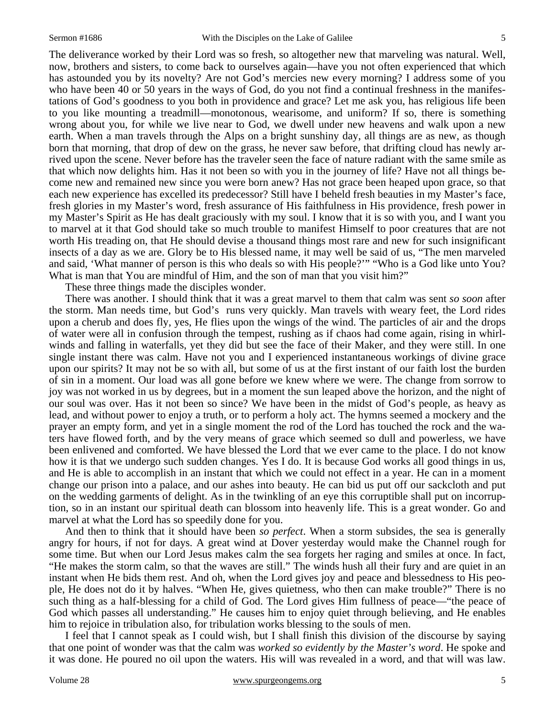The deliverance worked by their Lord was so fresh, so altogether new that marveling was natural. Well, now, brothers and sisters, to come back to ourselves again—have you not often experienced that which has astounded you by its novelty? Are not God's mercies new every morning? I address some of you who have been 40 or 50 years in the ways of God, do you not find a continual freshness in the manifestations of God's goodness to you both in providence and grace? Let me ask you, has religious life been to you like mounting a treadmill—monotonous, wearisome, and uniform? If so, there is something wrong about you, for while we live near to God, we dwell under new heavens and walk upon a new earth. When a man travels through the Alps on a bright sunshiny day, all things are as new, as though born that morning, that drop of dew on the grass, he never saw before, that drifting cloud has newly arrived upon the scene. Never before has the traveler seen the face of nature radiant with the same smile as that which now delights him. Has it not been so with you in the journey of life? Have not all things become new and remained new since you were born anew? Has not grace been heaped upon grace, so that each new experience has excelled its predecessor? Still have I beheld fresh beauties in my Master's face, fresh glories in my Master's word, fresh assurance of His faithfulness in His providence, fresh power in my Master's Spirit as He has dealt graciously with my soul. I know that it is so with you, and I want you to marvel at it that God should take so much trouble to manifest Himself to poor creatures that are not worth His treading on, that He should devise a thousand things most rare and new for such insignificant insects of a day as we are. Glory be to His blessed name, it may well be said of us, "The men marveled and said, 'What manner of person is this who deals so with His people?'" "Who is a God like unto You? What is man that You are mindful of Him, and the son of man that you visit him?"

These three things made the disciples wonder.

 There was another. I should think that it was a great marvel to them that calm was sent *so soon* after the storm. Man needs time, but God's runs very quickly. Man travels with weary feet, the Lord rides upon a cherub and does fly, yes, He flies upon the wings of the wind. The particles of air and the drops of water were all in confusion through the tempest, rushing as if chaos had come again, rising in whirlwinds and falling in waterfalls, yet they did but see the face of their Maker, and they were still. In one single instant there was calm. Have not you and I experienced instantaneous workings of divine grace upon our spirits? It may not be so with all, but some of us at the first instant of our faith lost the burden of sin in a moment. Our load was all gone before we knew where we were. The change from sorrow to joy was not worked in us by degrees, but in a moment the sun leaped above the horizon, and the night of our soul was over. Has it not been so since? We have been in the midst of God's people, as heavy as lead, and without power to enjoy a truth, or to perform a holy act. The hymns seemed a mockery and the prayer an empty form, and yet in a single moment the rod of the Lord has touched the rock and the waters have flowed forth, and by the very means of grace which seemed so dull and powerless, we have been enlivened and comforted. We have blessed the Lord that we ever came to the place. I do not know how it is that we undergo such sudden changes. Yes I do. It is because God works all good things in us, and He is able to accomplish in an instant that which we could not effect in a year. He can in a moment change our prison into a palace, and our ashes into beauty. He can bid us put off our sackcloth and put on the wedding garments of delight. As in the twinkling of an eye this corruptible shall put on incorruption, so in an instant our spiritual death can blossom into heavenly life. This is a great wonder. Go and marvel at what the Lord has so speedily done for you.

 And then to think that it should have been *so perfect*. When a storm subsides, the sea is generally angry for hours, if not for days. A great wind at Dover yesterday would make the Channel rough for some time. But when our Lord Jesus makes calm the sea forgets her raging and smiles at once. In fact, "He makes the storm calm, so that the waves are still." The winds hush all their fury and are quiet in an instant when He bids them rest. And oh, when the Lord gives joy and peace and blessedness to His people, He does not do it by halves. "When He, gives quietness, who then can make trouble?" There is no such thing as a half-blessing for a child of God. The Lord gives Him fullness of peace—"the peace of God which passes all understanding." He causes him to enjoy quiet through believing, and He enables him to rejoice in tribulation also, for tribulation works blessing to the souls of men.

 I feel that I cannot speak as I could wish, but I shall finish this division of the discourse by saying that one point of wonder was that the calm was *worked so evidently by the Master's word*. He spoke and it was done. He poured no oil upon the waters. His will was revealed in a word, and that will was law.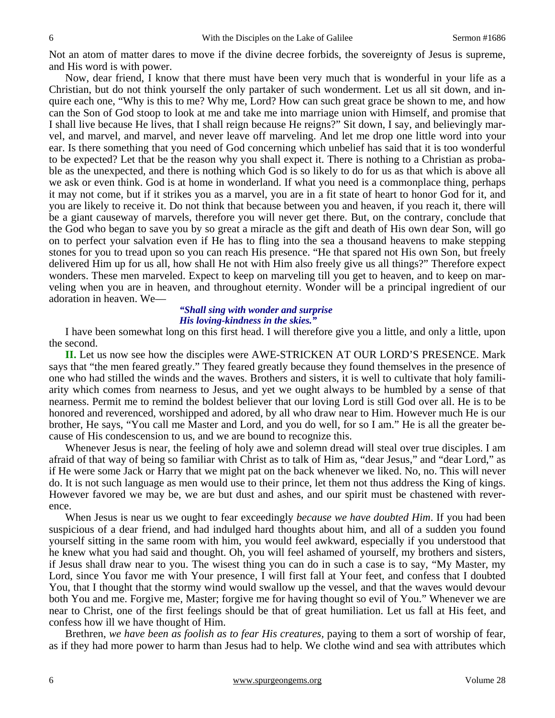Not an atom of matter dares to move if the divine decree forbids, the sovereignty of Jesus is supreme, and His word is with power.

 Now, dear friend, I know that there must have been very much that is wonderful in your life as a Christian, but do not think yourself the only partaker of such wonderment. Let us all sit down, and inquire each one, "Why is this to me? Why me, Lord? How can such great grace be shown to me, and how can the Son of God stoop to look at me and take me into marriage union with Himself, and promise that I shall live because He lives, that I shall reign because He reigns?" Sit down, I say, and believingly marvel, and marvel, and marvel, and never leave off marveling. And let me drop one little word into your ear. Is there something that you need of God concerning which unbelief has said that it is too wonderful to be expected? Let that be the reason why you shall expect it. There is nothing to a Christian as probable as the unexpected, and there is nothing which God is so likely to do for us as that which is above all we ask or even think. God is at home in wonderland. If what you need is a commonplace thing, perhaps it may not come, but if it strikes you as a marvel, you are in a fit state of heart to honor God for it, and you are likely to receive it. Do not think that because between you and heaven, if you reach it, there will be a giant causeway of marvels, therefore you will never get there. But, on the contrary, conclude that the God who began to save you by so great a miracle as the gift and death of His own dear Son, will go on to perfect your salvation even if He has to fling into the sea a thousand heavens to make stepping stones for you to tread upon so you can reach His presence. "He that spared not His own Son, but freely delivered Him up for us all, how shall He not with Him also freely give us all things?" Therefore expect wonders. These men marveled. Expect to keep on marveling till you get to heaven, and to keep on marveling when you are in heaven, and throughout eternity. Wonder will be a principal ingredient of our adoration in heaven. We—

#### *"Shall sing with wonder and surprise His loving-kindness in the skies."*

I have been somewhat long on this first head. I will therefore give you a little, and only a little, upon the second.

**II.** Let us now see how the disciples were AWE-STRICKEN AT OUR LORD'S PRESENCE. Mark says that "the men feared greatly." They feared greatly because they found themselves in the presence of one who had stilled the winds and the waves. Brothers and sisters, it is well to cultivate that holy familiarity which comes from nearness to Jesus, and yet we ought always to be humbled by a sense of that nearness. Permit me to remind the boldest believer that our loving Lord is still God over all. He is to be honored and reverenced, worshipped and adored, by all who draw near to Him. However much He is our brother, He says, "You call me Master and Lord, and you do well, for so I am." He is all the greater because of His condescension to us, and we are bound to recognize this.

 Whenever Jesus is near, the feeling of holy awe and solemn dread will steal over true disciples. I am afraid of that way of being so familiar with Christ as to talk of Him as, "dear Jesus," and "dear Lord," as if He were some Jack or Harry that we might pat on the back whenever we liked. No, no. This will never do. It is not such language as men would use to their prince, let them not thus address the King of kings. However favored we may be, we are but dust and ashes, and our spirit must be chastened with reverence.

 When Jesus is near us we ought to fear exceedingly *because we have doubted Him*. If you had been suspicious of a dear friend, and had indulged hard thoughts about him, and all of a sudden you found yourself sitting in the same room with him, you would feel awkward, especially if you understood that he knew what you had said and thought. Oh, you will feel ashamed of yourself, my brothers and sisters, if Jesus shall draw near to you. The wisest thing you can do in such a case is to say, "My Master, my Lord, since You favor me with Your presence, I will first fall at Your feet, and confess that I doubted You, that I thought that the stormy wind would swallow up the vessel, and that the waves would devour both You and me. Forgive me, Master; forgive me for having thought so evil of You." Whenever we are near to Christ, one of the first feelings should be that of great humiliation. Let us fall at His feet, and confess how ill we have thought of Him.

 Brethren, *we have been as foolish as to fear His creatures,* paying to them a sort of worship of fear, as if they had more power to harm than Jesus had to help. We clothe wind and sea with attributes which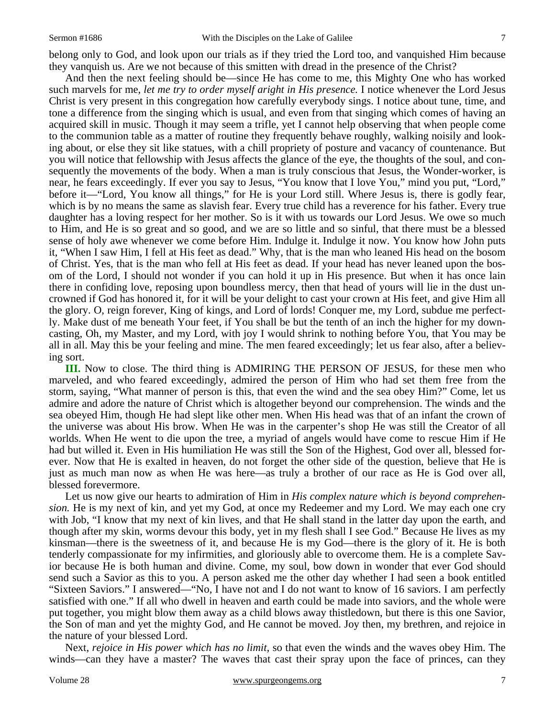belong only to God, and look upon our trials as if they tried the Lord too, and vanquished Him because they vanquish us. Are we not because of this smitten with dread in the presence of the Christ?

 And then the next feeling should be—since He has come to me, this Mighty One who has worked such marvels for me, *let me try to order myself aright in His presence.* I notice whenever the Lord Jesus Christ is very present in this congregation how carefully everybody sings. I notice about tune, time, and tone a difference from the singing which is usual, and even from that singing which comes of having an acquired skill in music. Though it may seem a trifle, yet I cannot help observing that when people come to the communion table as a matter of routine they frequently behave roughly, walking noisily and looking about, or else they sit like statues, with a chill propriety of posture and vacancy of countenance. But you will notice that fellowship with Jesus affects the glance of the eye, the thoughts of the soul, and consequently the movements of the body. When a man is truly conscious that Jesus, the Wonder-worker, is near, he fears exceedingly. If ever you say to Jesus, "You know that I love You," mind you put, "Lord," before it—"Lord, You know all things," for He is your Lord still. Where Jesus is, there is godly fear, which is by no means the same as slavish fear. Every true child has a reverence for his father. Every true daughter has a loving respect for her mother. So is it with us towards our Lord Jesus. We owe so much to Him, and He is so great and so good, and we are so little and so sinful, that there must be a blessed sense of holy awe whenever we come before Him. Indulge it. Indulge it now. You know how John puts it, "When I saw Him, I fell at His feet as dead." Why, that is the man who leaned His head on the bosom of Christ. Yes, that is the man who fell at His feet as dead. If your head has never leaned upon the bosom of the Lord, I should not wonder if you can hold it up in His presence. But when it has once lain there in confiding love, reposing upon boundless mercy, then that head of yours will lie in the dust uncrowned if God has honored it, for it will be your delight to cast your crown at His feet, and give Him all the glory. O, reign forever, King of kings, and Lord of lords! Conquer me, my Lord, subdue me perfectly. Make dust of me beneath Your feet, if You shall be but the tenth of an inch the higher for my downcasting, Oh, my Master, and my Lord, with joy I would shrink to nothing before You, that You may be all in all. May this be your feeling and mine. The men feared exceedingly; let us fear also, after a believing sort.

**III.** Now to close. The third thing is ADMIRING THE PERSON OF JESUS, for these men who marveled, and who feared exceedingly, admired the person of Him who had set them free from the storm, saying, "What manner of person is this, that even the wind and the sea obey Him?" Come, let us admire and adore the nature of Christ which is altogether beyond our comprehension. The winds and the sea obeyed Him, though He had slept like other men. When His head was that of an infant the crown of the universe was about His brow. When He was in the carpenter's shop He was still the Creator of all worlds. When He went to die upon the tree, a myriad of angels would have come to rescue Him if He had but willed it. Even in His humiliation He was still the Son of the Highest, God over all, blessed forever. Now that He is exalted in heaven, do not forget the other side of the question, believe that He is just as much man now as when He was here—as truly a brother of our race as He is God over all, blessed forevermore.

 Let us now give our hearts to admiration of Him in *His complex nature which is beyond comprehension.* He is my next of kin, and yet my God, at once my Redeemer and my Lord. We may each one cry with Job, "I know that my next of kin lives, and that He shall stand in the latter day upon the earth, and though after my skin, worms devour this body, yet in my flesh shall I see God." Because He lives as my kinsman—there is the sweetness of it, and because He is my God—there is the glory of it. He is both tenderly compassionate for my infirmities, and gloriously able to overcome them. He is a complete Savior because He is both human and divine. Come, my soul, bow down in wonder that ever God should send such a Savior as this to you. A person asked me the other day whether I had seen a book entitled "Sixteen Saviors." I answered—"No, I have not and I do not want to know of 16 saviors. I am perfectly satisfied with one." If all who dwell in heaven and earth could be made into saviors, and the whole were put together, you might blow them away as a child blows away thistledown, but there is this one Savior, the Son of man and yet the mighty God, and He cannot be moved. Joy then, my brethren, and rejoice in the nature of your blessed Lord.

 Next, *rejoice in His power which has no limit,* so that even the winds and the waves obey Him. The winds—can they have a master? The waves that cast their spray upon the face of princes, can they